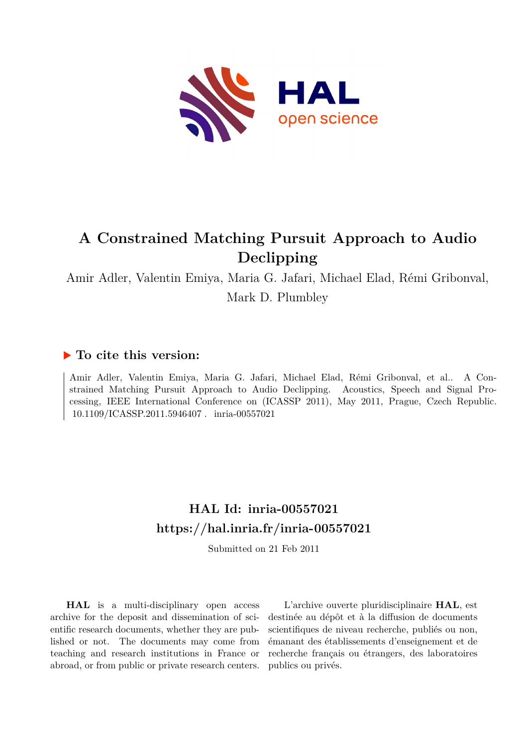

# **A Constrained Matching Pursuit Approach to Audio Declipping**

Amir Adler, Valentin Emiya, Maria G. Jafari, Michael Elad, Rémi Gribonval, Mark D. Plumbley

# **To cite this version:**

Amir Adler, Valentin Emiya, Maria G. Jafari, Michael Elad, Rémi Gribonval, et al.. A Constrained Matching Pursuit Approach to Audio Declipping. Acoustics, Speech and Signal Processing, IEEE International Conference on (ICASSP 2011), May 2011, Prague, Czech Republic. 10.1109/ICASSP.2011.5946407. inria-00557021

# **HAL Id: inria-00557021 <https://hal.inria.fr/inria-00557021>**

Submitted on 21 Feb 2011

**HAL** is a multi-disciplinary open access archive for the deposit and dissemination of scientific research documents, whether they are published or not. The documents may come from teaching and research institutions in France or abroad, or from public or private research centers.

L'archive ouverte pluridisciplinaire **HAL**, est destinée au dépôt et à la diffusion de documents scientifiques de niveau recherche, publiés ou non, émanant des établissements d'enseignement et de recherche français ou étrangers, des laboratoires publics ou privés.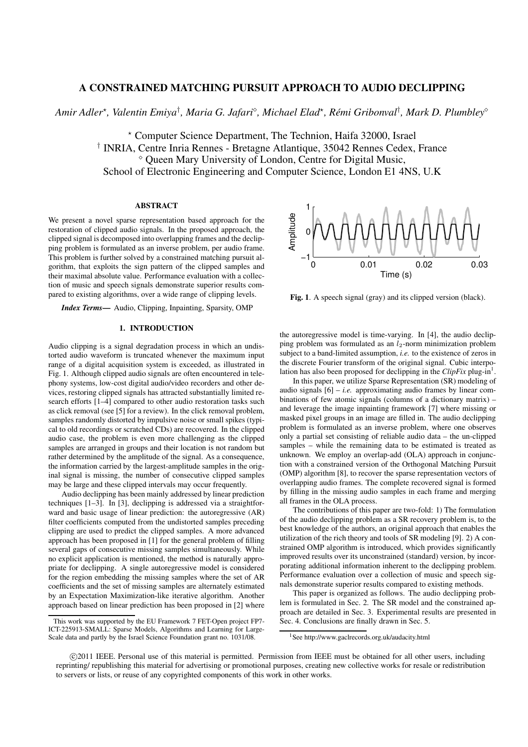# **A CONSTRAINED MATCHING PURSUIT APPROACH TO AUDIO DECLIPPING**

*Amir Adler*<sup>⋆</sup> *, Valentin Emiya*† *, Maria G. Jafari*<sup>⋄</sup> *, Michael Elad*<sup>⋆</sup> *, Remi Gribonval ´* † *, Mark D. Plumbley*<sup>⋄</sup>

<sup>⋆</sup> Computer Science Department, The Technion, Haifa 32000, Israel † INRIA, Centre Inria Rennes - Bretagne Atlantique, 35042 Rennes Cedex, France <sup>⋄</sup> Queen Mary University of London, Centre for Digital Music, School of Electronic Engineering and Computer Science, London E1 4NS, U.K

#### **ABSTRACT**

We present a novel sparse representation based approach for the restoration of clipped audio signals. In the proposed approach, the clipped signal is decomposed into overlapping frames and the declipping problem is formulated as an inverse problem, per audio frame. This problem is further solved by a constrained matching pursuit algorithm, that exploits the sign pattern of the clipped samples and their maximal absolute value. Performance evaluation with a collection of music and speech signals demonstrate superior results compared to existing algorithms, over a wide range of clipping levels.

*Index Terms***—** Audio, Clipping, Inpainting, Sparsity, OMP

## **1. INTRODUCTION**

Audio clipping is a signal degradation process in which an undistorted audio waveform is truncated whenever the maximum input range of a digital acquisition system is exceeded, as illustrated in Fig. 1. Although clipped audio signals are often encountered in telephony systems, low-cost digital audio/video recorders and other devices, restoring clipped signals has attracted substantially limited research efforts [1–4] compared to other audio restoration tasks such as click removal (see [5] for a review). In the click removal problem, samples randomly distorted by impulsive noise or small spikes (typical to old recordings or scratched CDs) are recovered. In the clipped audio case, the problem is even more challenging as the clipped samples are arranged in groups and their location is not random but rather determined by the amplitude of the signal. As a consequence, the information carried by the largest-amplitude samples in the original signal is missing, the number of consecutive clipped samples may be large and these clipped intervals may occur frequently.

Audio declipping has been mainly addressed by linear prediction techniques [1–3]. In [3], declipping is addressed via a straightforward and basic usage of linear prediction: the autoregressive (AR) filter coefficients computed from the undistorted samples preceding clipping are used to predict the clipped samples. A more advanced approach has been proposed in [1] for the general problem of filling several gaps of consecutive missing samples simultaneously. While no explicit application is mentioned, the method is naturally appropriate for declipping. A single autoregressive model is considered for the region embedding the missing samples where the set of AR coefficients and the set of missing samples are alternately estimated by an Expectation Maximization-like iterative algorithm. Another approach based on linear prediction has been proposed in [2] where



**Fig. 1**. A speech signal (gray) and its clipped version (black).

the autoregressive model is time-varying. In [4], the audio declipping problem was formulated as an  $l_2$ -norm minimization problem subject to a band-limited assumption, *i.e.* to the existence of zeros in the discrete Fourier transform of the original signal. Cubic interpolation has also been proposed for declipping in the  $ClipFix$  plug-in<sup>1</sup>.

In this paper, we utilize Sparse Representation (SR) modeling of audio signals  $[6] - i.e.$  approximating audio frames by linear combinations of few atomic signals (columns of a dictionary matrix) – and leverage the image inpainting framework [7] where missing or masked pixel groups in an image are filled in. The audio declipping problem is formulated as an inverse problem, where one observes only a partial set consisting of reliable audio data – the un-clipped samples – while the remaining data to be estimated is treated as unknown. We employ an overlap-add (OLA) approach in conjunction with a constrained version of the Orthogonal Matching Pursuit (OMP) algorithm [8], to recover the sparse representation vectors of overlapping audio frames. The complete recovered signal is formed by filling in the missing audio samples in each frame and merging all frames in the OLA process.

The contributions of this paper are two-fold: 1) The formulation of the audio declipping problem as a SR recovery problem is, to the best knowledge of the authors, an original approach that enables the utilization of the rich theory and tools of SR modeling [9]. 2) A constrained OMP algorithm is introduced, which provides significantly improved results over its unconstrained (standard) version, by incorporating additional information inherent to the declipping problem. Performance evaluation over a collection of music and speech signals demonstrate superior results compared to existing methods.

This paper is organized as follows. The audio declipping problem is formulated in Sec. 2. The SR model and the constrained approach are detailed in Sec. 3. Experimental results are presented in Sec. 4. Conclusions are finally drawn in Sec. 5.

This work was supported by the EU Framework 7 FET-Open project FP7- ICT-225913-SMALL: Sparse Models, Algorithms and Learning for Large-Scale data and partly by the Israel Science Foundation grant no. 1031/08.

<sup>&</sup>lt;sup>1</sup>See http://www.gaclrecords.org.uk/audacity.html

<sup>°</sup>c 2011 IEEE. Personal use of this material is permitted. Permission from IEEE must be obtained for all other users, including reprinting/ republishing this material for advertising or promotional purposes, creating new collective works for resale or redistribution to servers or lists, or reuse of any copyrighted components of this work in other works.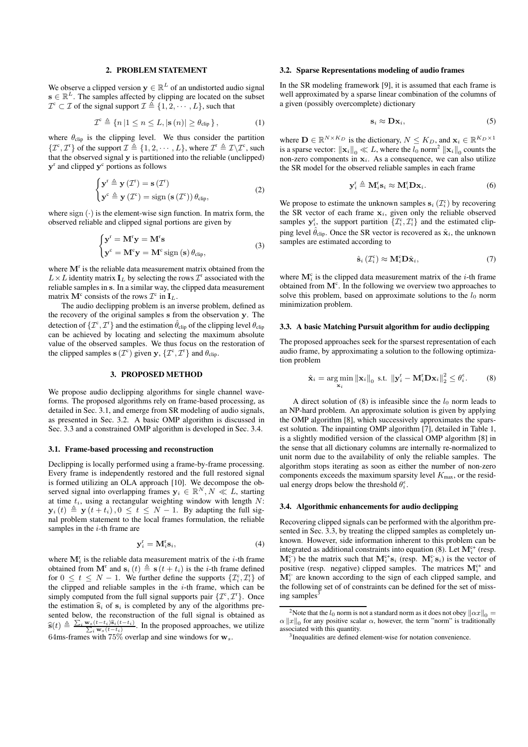#### **2. PROBLEM STATEMENT**

We observe a clipped version  $y \in \mathbb{R}^L$  of an undistorted audio signal  $\mathbf{s} \in \mathbb{R}^L$ . The samples affected by clipping are located on the subset  $\mathcal{I}^c \subset \mathcal{I}$  of the signal support  $\mathcal{I} \triangleq \{1, 2, \cdots, L\}$ , such that

$$
\mathcal{I}^{\mathsf{c}} \triangleq \{ n \, | \, 1 \le n \le L, |\mathbf{s}(n)| \ge \theta_{\text{clip}} \},\tag{1}
$$

where  $\theta_{\text{clip}}$  is the clipping level. We thus consider the partition  $\{\mathcal{I}^c, \mathcal{I}^r\}$  of the support  $\mathcal{I} \triangleq \{1, 2, \cdots, L\}$ , where  $\mathcal{I}^r \triangleq \mathcal{I}\backslash\mathcal{I}^c$ , such that the observed signal y is partitioned into the reliable (unclipped)  $y<sup>r</sup>$  and clipped  $y<sup>c</sup>$  portions as follows

$$
\begin{cases} \mathbf{y}^{\mathrm{r}} \triangleq \mathbf{y} \left( \mathcal{I}^{\mathrm{r}} \right) = \mathbf{s} \left( \mathcal{I}^{\mathrm{r}} \right) \\ \mathbf{y}^{\mathrm{c}} \triangleq \mathbf{y} \left( \mathcal{I}^{\mathrm{c}} \right) = \text{sign} \left( \mathbf{s} \left( \mathcal{I}^{\mathrm{c}} \right) \right) \theta_{\mathrm{clip}}, \end{cases} \tag{2}
$$

where sign  $(\cdot)$  is the element-wise sign function. In matrix form, the observed reliable and clipped signal portions are given by

$$
\begin{cases} \mathbf{y}^{\mathrm{r}} = \mathbf{M}^{\mathrm{r}} \mathbf{y} = \mathbf{M}^{\mathrm{r}} \mathbf{s} \\ \mathbf{y}^{\mathrm{c}} = \mathbf{M}^{\mathrm{c}} \mathbf{y} = \mathbf{M}^{\mathrm{c}} \operatorname{sign} (\mathbf{s}) \theta_{\mathrm{clip}}, \end{cases}
$$
(3)

where  $M<sup>r</sup>$  is the reliable data measurement matrix obtained from the  $L \times L$  identity matrix  $\mathbf{I}_L$  by selecting the rows  $\mathcal{I}^r$  associated with the reliable samples in s. In a similar way, the clipped data measurement matrix  $\mathbf{M}^c$  consists of the rows  $\mathcal{I}^c$  in  $\mathbf{I}_L$ .

The audio declipping problem is an inverse problem, defined as the recovery of the original samples s from the observation y. The detection of  $\{\mathcal{I}^c,\mathcal{I}^r\}$  and the estimation  $\hat{\theta}_\text{clip}$  of the clipping level  $\theta_\text{clip}$ can be achieved by locating and selecting the maximum absolute value of the observed samples. We thus focus on the restoration of the clipped samples  $\mathbf{s}(\mathcal{I}^c)$  given  $\mathbf{y}, \{\mathcal{I}^c, \mathcal{I}^r\}$  and  $\theta_{\text{clip}}$ .

### **3. PROPOSED METHOD**

We propose audio declipping algorithms for single channel waveforms. The proposed algorithms rely on frame-based processing, as detailed in Sec. 3.1, and emerge from SR modeling of audio signals, as presented in Sec. 3.2. A basic OMP algorithm is discussed in Sec. 3.3 and a constrained OMP algorithm is developed in Sec. 3.4.

#### **3.1. Frame-based processing and reconstruction**

Declipping is locally performed using a frame-by-frame processing. Every frame is independently restored and the full restored signal is formed utilizing an OLA approach [10]. We decompose the observed signal into overlapping frames  $y_i \in \mathbb{R}^N, N \ll L$ , starting at time  $t_i$ , using a rectangular weighting window with length  $N$ :  $\mathbf{y}_i(t) \triangleq \mathbf{y}(t + t_i)$ ,  $0 \le t \le N - 1$ . By adapting the full signal problem statement to the local frames formulation, the reliable samples in the  $i$ -th frame are

$$
\mathbf{y}_i^{\mathrm{r}} = \mathbf{M}_i^{\mathrm{r}} \mathbf{s}_i,\tag{4}
$$

where  $M_i^r$  is the reliable data measurement matrix of the *i*-th frame obtained from  $\mathbf{M}^{\text{r}}$  and  $\mathbf{s}_i(t) \triangleq \mathbf{s}(t + t_i)$  is the *i*-th frame defined for  $0 \leq t \leq N-1$ . We further define the supports  $\{\mathcal{I}_i^c, \mathcal{I}_i^r\}$  of the clipped and reliable samples in the  $i$ -th frame, which can be simply computed from the full signal supports pair  $\{\mathcal{I}^c, \mathcal{I}^r\}$ . Once the estimation  $\hat{\mathbf{s}}_i$  of  $\mathbf{s}_i$  is completed by any of the algorithms presented below, the reconstruction of the full signal is obtained as  $\widehat{\mathbf{s}}(t) \triangleq \frac{\sum_i \mathbf{w}_s(t-t_i)\widehat{\mathbf{s}}_i(t-t_i)}{\sum_i \mathbf{w}_s(t-t_i)}$ . In the proposed approaches, we utilize 64ms-frames with 75% overlap and sine windows for  $w_s$ .

#### **3.2. Sparse Representations modeling of audio frames**

In the SR modeling framework [9], it is assumed that each frame is well approximated by a sparse linear combination of the columns of a given (possibly overcomplete) dictionary

$$
\mathbf{s}_i \approx \mathbf{D}\mathbf{x}_i,\tag{5}
$$

where  $\mathbf{D} \in \mathbb{R}^{N \times K_D}$  is the dictionary,  $N \leq K_D$ , and  $\mathbf{x}_i \in \mathbb{R}^{K_D \times 1}$ is a sparse vector:  $\left\|\mathbf{x}_{i}\right\|_{0} \ll L$ , where the  $l_{0}$  norm<sup>2</sup>  $\left\|\mathbf{x}_{i}\right\|_{0}$  counts the non-zero components in  $x_i$ . As a consequence, we can also utilize the SR model for the observed reliable samples in each frame

$$
\mathbf{y}_i^{\mathrm{r}} \triangleq \mathbf{M}_i^{\mathrm{r}} \mathbf{s}_i \approx \mathbf{M}_i^{\mathrm{r}} \mathbf{D} \mathbf{x}_i. \tag{6}
$$

We propose to estimate the unknown samples  $s_i(\mathcal{I}_i^c)$  by recovering the SR vector of each frame  $x_i$ , given only the reliable observed samples  $y_i^r$ , the support partition  $\{\mathcal{I}_i^c, \mathcal{I}_i^r\}$  and the estimated clipping level  $\hat{\theta}_{\text{clip}}$ . Once the SR vector is recovered as  $\hat{\mathbf{x}}_i$ , the unknown samples are estimated according to

$$
\hat{\mathbf{s}}_i \left( \mathcal{I}_i^{\mathsf{c}} \right) \approx \mathbf{M}_i^{\mathsf{c}} \mathbf{D} \hat{\mathbf{x}}_i, \tag{7}
$$

where  $M_i^c$  is the clipped data measurement matrix of the *i*-th frame obtained from  $M<sup>c</sup>$ . In the following we overview two approaches to solve this problem, based on approximate solutions to the  $l_0$  norm minimization problem.

#### **3.3. A basic Matching Pursuit algorithm for audio declipping**

The proposed approaches seek for the sparsest representation of each audio frame, by approximating a solution to the following optimization problem

$$
\hat{\mathbf{x}}_i = \underset{\mathbf{x}_i}{\arg\min} \left\| \mathbf{x}_i \right\|_0 \text{ s.t. } \left\| \mathbf{y}_i^{\text{r}} - \mathbf{M}_i^{\text{r}} \mathbf{D} \mathbf{x}_i \right\|_2^2 \le \theta_i^{\epsilon}.
$$
 (8)

A direct solution of (8) is infeasible since the  $l_0$  norm leads to an NP-hard problem. An approximate solution is given by applying the OMP algorithm [8], which successively approximates the sparsest solution. The inpainting OMP algorithm [7], detailed in Table 1, is a slightly modified version of the classical OMP algorithm [8] in the sense that all dictionary columns are internally re-normalized to unit norm due to the availability of only the reliable samples. The algorithm stops iterating as soon as either the number of non-zero components exceeds the maximum sparsity level  $K_{\text{max}}$ , or the residual energy drops below the threshold  $\theta_i^{\epsilon}$ .

#### **3.4. Algorithmic enhancements for audio declipping**

Recovering clipped signals can be performed with the algorithm presented in Sec. 3.3, by treating the clipped samples as completely unknown. However, side information inherent to this problem can be integrated as additional constraints into equation (8). Let  $\mathbf{M}_{i}^{c+}$  (resp.  $M_i^{c}$  be the matrix such that  $M_i^{c+} s_i$  (resp.  $M_i^{c-} s_i$ ) is the vector of positive (resp. negative) clipped samples. The matrices  $M_i^{c+}$  and  $M_i^c$  are known according to the sign of each clipped sample, and the following set of of constraints can be defined for the set of missing samples<sup>3</sup>

<sup>&</sup>lt;sup>2</sup>Note that the  $l_0$  norm is not a standard norm as it does not obey  $\|\alpha x\|_0 =$  $\alpha ||x||_0$  for any positive scalar  $\alpha$ , however, the term "norm" is traditionally associated with this quantity.

<sup>3</sup> Inequalities are defined element-wise for notation convenience.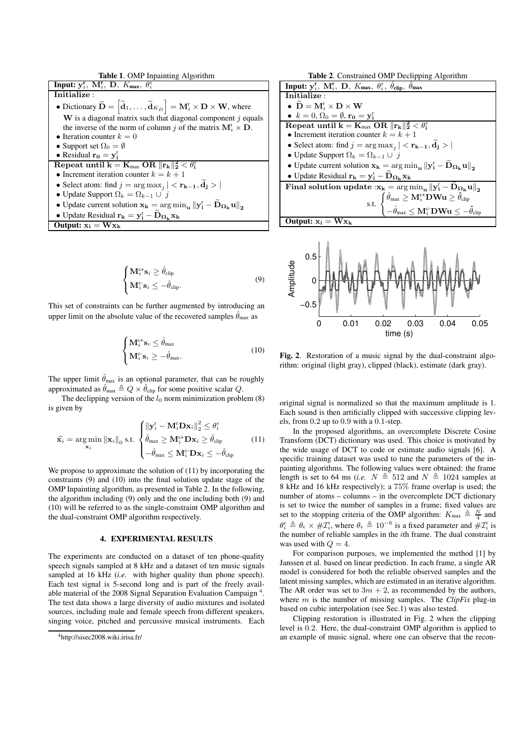**Table 1**. OMP Inpainting Algorithm



$$
\begin{cases} \mathbf{M}_{i}^{c+} \mathbf{s}_{i} \geq \hat{\theta}_{\text{clip}} \\ \mathbf{M}_{i}^{c} \mathbf{s}_{i} \leq -\hat{\theta}_{\text{clip}}. \end{cases}
$$
 (9)

This set of constraints can be further augmented by introducing an upper limit on the absolute value of the recovered samples  $\hat{\theta}_{\text{max}}$  as

$$
\begin{cases} \mathbf{M}_{i}^{c+} \mathbf{s}_{i} \leq \hat{\theta}_{\text{max}} \\ \mathbf{M}_{i}^{c} \mathbf{s}_{i} \geq -\hat{\theta}_{\text{max}}. \end{cases}
$$
 (10)

The upper limit  $\hat{\theta}_{\text{max}}$  is an optional parameter, that can be roughly approximated as  $\hat{\theta}_{\text{max}} \triangleq Q \times \hat{\theta}_{\text{clip}}$  for some positive scalar Q.

The declipping version of the  $l_0$  norm minimization problem  $(8)$ is given by

$$
\widehat{\mathbf{x}}_i = \arg\min_{\mathbf{x}_i} \|\mathbf{x}_i\|_0 \text{ s.t. } \begin{cases} \|\mathbf{y}_i^{\mathrm{r}} - \mathbf{M}_i^{\mathrm{r}} \mathbf{D} \mathbf{x}_i\|_2^2 \le \theta_i^{\epsilon} \\ \hat{\theta}_{\text{max}} \ge \mathbf{M}_i^{\mathrm{c}+} \mathbf{D} \mathbf{x}_i \ge \hat{\theta}_{\text{clip}} \\ -\hat{\theta}_{\text{max}} \le \mathbf{M}_i^{\mathrm{c}} \mathbf{D} \mathbf{x}_i \le -\hat{\theta}_{\text{clip}} \end{cases} \tag{11}
$$

We propose to approximate the solution of  $(11)$  by incorporating the constraints (9) and (10) into the final solution update stage of the OMP Inpainting algorithm, as presented in Table 2. In the following, the algorithm including (9) only and the one including both (9) and (10) will be referred to as the single-constraint OMP algorithm and the dual-constraint OMP algorithm respectively.

### **4. EXPERIMENTAL RESULTS**

The experiments are conducted on a dataset of ten phone-quality speech signals sampled at 8 kHz and a dataset of ten music signals sampled at 16 kHz *(i.e.* with higher quality than phone speech). Each test signal is 5-second long and is part of the freely available material of the 2008 Signal Separation Evaluation Campaign<sup>4</sup>. The test data shows a large diversity of audio mixtures and isolated sources, including male and female speech from different speakers, singing voice, pitched and percussive musical instruments. Each





**Fig. 2**. Restoration of a music signal by the dual-constraint algorithm: original (light gray), clipped (black), estimate (dark gray).

original signal is normalized so that the maximum amplitude is 1. Each sound is then artificially clipped with successive clipping levels, from 0.2 up to 0.9 with a 0.1-step.

In the proposed algorithms, an overcomplete Discrete Cosine Transform (DCT) dictionary was used. This choice is motivated by the wide usage of DCT to code or estimate audio signals [6]. A specific training dataset was used to tune the parameters of the inpainting algorithms. The following values were obtained: the frame length is set to 64 ms (*i.e.*  $N \triangleq 512$  and  $N \triangleq 1024$  samples at 8 kHz and 16 kHz respectively); a 75% frame overlap is used; the number of atoms – columns – in the overcomplete DCT dictionary is set to twice the number of samples in a frame; fixed values are set to the stopping criteria of the OMP algorithm:  $K_{\text{max}} \triangleq \frac{N}{4}$  and  $\theta_i^{\epsilon} \triangleq \theta_{\epsilon} \times \# \mathcal{I}_i^{\tau}$ , where  $\theta_{\epsilon} \triangleq 10^{-6}$  is a fixed parameter and  $\# \mathcal{I}_i^{\tau}$  is the number of reliable samples in the ith frame. The dual constraint was used with  $Q = 4$ .

For comparison purposes, we implemented the method [1] by Janssen et al. based on linear prediction. In each frame, a single AR model is considered for both the reliable observed samples and the latent missing samples, which are estimated in an iterative algorithm. The AR order was set to  $3m + 2$ , as recommended by the authors, where m is the number of missing samples. The *ClipFix* plug-in based on cubic interpolation (see Sec.1) was also tested.

Clipping restoration is illustrated in Fig. 2 when the clipping level is 0.2. Here, the dual-constraint OMP algorithm is applied to an example of music signal, where one can observe that the recon-

<sup>4</sup>http://sisec2008.wiki.irisa.fr/